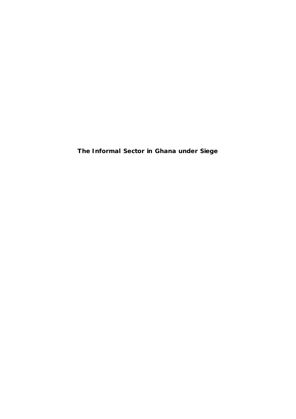**The Informal Sector in Ghana under Siege**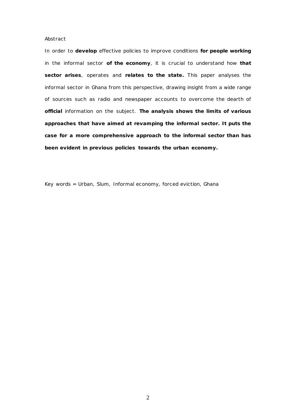### *Abstract*

*In order to develop effective policies to improve conditions for people working in the informal sector of the economy, it is crucial to understand how that sector arises, operates and relates to the state. This paper analyses the informal sector in Ghana from this perspective, drawing insight from a wide range of sources such as radio and newspaper accounts to overcome the dearth of official information on the subject. The analysis shows the limits of various approaches that have aimed at revamping the informal sector. It puts the case for a more comprehensive approach to the informal sector than has been evident in previous policies towards the urban economy.*

*Key words = Urban, Slum, Informal economy, forced eviction, Ghana*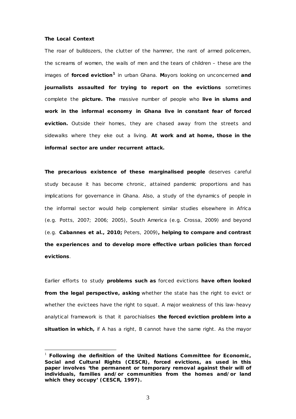### *The Local Context*

The roar of bulldozers, the clutter of the hammer, the rant of armed policemen, the screams of women, the wails of men and the tears of children – these are the images of **forced eviction[1](#page-2-0)** in urban Ghana. **M**ayors looking on unconcerned **and journalists assaulted for trying to report on the evictions** sometimes complete the **picture. The** massive number of people who **live in slums and work in the informal economy in Ghana live in constant fear of forced eviction.** Outside their homes, they are chased away from the streets and sidewalks where they eke out a living. **At work and at home, those in the informal sector are under recurrent attack.**

**The precarious existence of these marginalised people** deserves careful study because it has become chronic, attained pandemic proportions and has implications for governance in Ghana. Also, a study of the dynamics of people in the informal sector would help complement similar studies elsewhere in Africa (e.g. Potts, 2007; 2006; 2005), South America (e.g. Crossa, 2009) and beyond (e.g. **Cabannes** *et al.,* **2010;** Peters, 2009)**, helping to compare and contrast the experiences and to develop more effective urban policies than forced evictions**.

Earlier efforts to study **problems such as** forced evictions **have often looked from the legal perspective, asking** whether the state has the right to evict or whether the evictees have the right to squat. A major weakness of this law-heavy analytical framework is that it parochialises **the forced eviction problem into a situation in which,** if A has a right, B cannot have the same right. As the mayor

<span id="page-2-0"></span> <sup>1</sup> **Following the definition of the United Nations Committee for Economic, Social and Cultural Rights (CESCR),** *forced* **evictions, as used in this paper involves 'the permanent or temporary removal against their will of individuals, families and/or communities from the homes and/or land which they occupy' (CESCR, 1997).**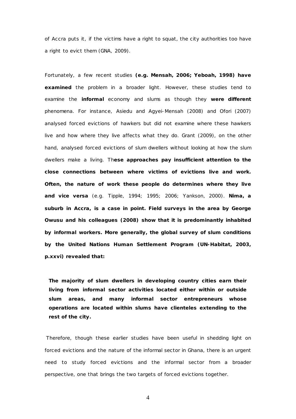of Accra puts it, if the victims have a right to squat, the city authorities too have a right to evict them (GNA, 2009).

Fortunately, a few recent studies **(e.g. Mensah, 2006; Yeboah, 1998) have examined** the problem in a broader light. However, these studies tend to examine the **informal** economy and slums as though they **were different** phenomena. For instance, Asiedu and Agyei-Mensah (2008) and Ofori (2007) analysed forced evictions of hawkers but did not examine where these hawkers live and how where they live affects what they do. Grant (2009), on the other hand, analysed forced evictions of slum dwellers without looking at how the slum dwellers make a living. Th**ese approaches pay insufficient attention to the close connections between where victims of evictions live and work. Often, the nature of work these people do determines where they live and** *vice versa* (e.g. Tipple, 1994; 1995; 2006; Yankson, 2000). **Nima, a suburb in Accra, is a case in point. Field surveys in the area by George Owusu and his colleagues (2008) show that it is predominantly inhabited by informal workers. More generally, the global survey of slum conditions by the United Nations Human Settlement Program (UN-Habitat, 2003, p.xxvi) revealed that:**

**The majority of slum dwellers in developing country cities earn their living from informal sector activities located either within or outside slum areas, and many informal sector entrepreneurs whose operations are located within slums have clienteles extending to the rest of the city.**

Therefore, though these earlier studies have been useful in shedding light on forced evictions and the nature of the informal sector in Ghana, there is an urgent need to study forced evictions and the informal sector from a broader perspective, one that brings the two targets of forced evictions together.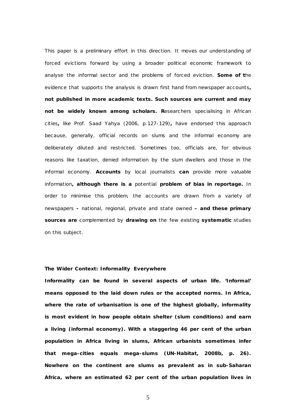This paper is a preliminary effort in this direction. It moves our understanding of forced evictions forward by using a broader political economic framework to analyse the informal sector and the problems of forced eviction. **Some of t**he evidence that supports the analysis is drawn first hand from newspaper accounts**, not published in more academic texts. Such sources are current and may not be widely known among scholars. R**esearchers specialising in African cities**,** like Prof. Saad Yahya (2006, p.127-129)**,** have endorsed this approach because, generally, official records on slums and the informal economy are deliberately diluted and restricted. Sometimes too, officials are, for obvious reasons like taxation, denied information by the slum dwellers and those in the informal economy. **Accounts** by local journalists **can** provide more valuable information**, although there is a** potential **problem of bias in reportage.** In order to minimise this problem, the accounts are drawn from a variety of newspapers **-** national, regional, private and state owned **– and these primary sources are** complemented by **drawing on** the few existing **systematic** studies on this subject.

# *The Wider Context: Informality Everywhere*

**Informality can be found in several aspects of urban life. 'Informal' means opposed to the laid down rules or the accepted norms. In Africa, where the rate of urbanisation is one of the highest globally, informality is most evident in how people obtain shelter (slum conditions) and earn a living (informal economy). With a staggering 46 per cent of the urban population in Africa living in slums, African urbanists sometimes infer that mega-cities equals mega-slums (UN-Habitat, 2008b, p. 26). Nowhere on the continent are slums as prevalent as in sub-Saharan Africa, where an estimated 62 per cent of the urban population lives in**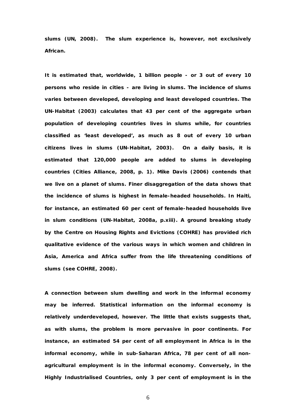**slums (UN, 2008). The slum experience is, however, not exclusively African.**

**It is estimated that, worldwide, 1 billion people - or 3 out of every 10 persons who reside in cities - are living in slums. The incidence of slums varies between developed, developing and least developed countries. The UN-Habitat (2003) calculates that 43 per cent of the aggregate urban population of developing countries lives in slums while, for countries classified as 'least developed', as much as 8 out of every 10 urban citizens lives in slums (UN-Habitat, 2003). On a daily basis, it is estimated that 120,000 people are added to slums in developing countries (Cities Alliance, 2008, p. 1). Mike Davis (2006) contends that we live on a planet of slums. Finer disaggregation of the data shows that the incidence of slums is highest in female-headed households. In Haiti, for instance, an estimated 60 per cent of female-headed households live in slum conditions (UN-Habitat, 2008a, p.xiii). A ground breaking study by the Centre on Housing Rights and Evictions (COHRE) has provided rich qualitative evidence of the various ways in which women and children in Asia, America and Africa suffer from the life threatening conditions of slums (see COHRE, 2008).** 

**A connection between slum dwelling and work in the informal economy may be inferred. Statistical information on the informal economy is relatively underdeveloped, however. The little that exists suggests that, as with slums, the problem is more pervasive in poor continents. For instance, an estimated 54 per cent of all employment in Africa is in the informal economy, while in sub-Saharan Africa, 78 per cent of all nonagricultural employment is in the informal economy. Conversely, in the Highly Industrialised Countries, only 3 per cent of employment is in the**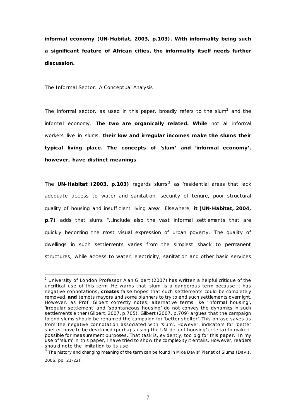**informal economy (UN-Habitat, 2003, p.103). With informality being such a significant feature of African cities, the informality itself needs further discussion.**

*The Informal Sector: A Conceptual Analysis*

The informal sector, as used in this paper, broadly refers to the slum<sup>2</sup> and the informal economy. **The two are organically related. While** not all informal workers live in slums, **their low and irregular incomes make the slums their typical living place. The concepts of 'slum' and 'informal economy', however, have distinct meanings**.

The **UN-Habitat (200[3](#page-6-1), p.103)** regards slums<sup>3</sup> as 'residential areas that lack adequate access to water and sanitation, security of tenure, poor structural quality of housing and insufficient living area'. Elsewhere, **it (UN-Habitat, 2004, p.7)** adds that slums "…include also the vast informal settlements that are quickly becoming the most visual expression of urban poverty. The quality of dwellings in such settlements varies from the simplest shack to permanent structures, while access to water, electricity, sanitation and other basic services

<span id="page-6-0"></span> $2$  University of London Professor Alan Gilbert (2007) has written a helpful critique of the uncritical use of this term. He warns that 'slum' is a dangerous term because it has negative connotations, **creates** false hopes that such settlements could be completely removed, **and** tempts mayors and some planners to try to end such settlements overnight. However, as Prof. Gilbert correctly notes, alternative terms like 'informal housing', 'irregular settlement' and 'spontaneous housing' do not convey the dynamics in such settlements either (Gilbert, 2007, p.705). Gilbert (2007, p.709) argues that the campaign to end slums should be renamed the campaign for 'better shelter'. This phrase saves us from the negative connotation associated with 'slum'. However, indicators for 'better shelter' have to be developed (perhaps using the UN 'decent housing' criteria) to make it possible for measurement purposes. That task is, evidently, too big for this paper. In my use of 'slum' in this paper, I have tried to show the complexity it entails. However, readers<br>should note the limitation to its use.

<span id="page-6-1"></span>The history and changing meaning of the term can be found in Mike Davis' *Planet of Slums* (Davis, 2006, pp. 21-22).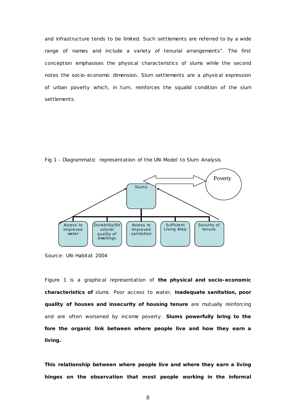and infrastructure tends to be limited. Such settlements are referred to by a wide range of names and include a variety of tenurial arrangements". The first conception emphasises the physical characteristics of slums while the second notes the socio-economic dimension. Slum settlements are a physical expression of urban poverty which, in turn, reinforces the squalid condition of the slum settlements.



Fig 1 - Diagrammatic representation of the UN-Model to Slum Analysis

Figure 1 is a graphical representation of **the physical and socio-economic characteristics of** slums. Poor access to water, **inadequate sanitation, poor quality of houses and insecurity of housing tenure** are mutually reinforcing and are often worsened by income poverty. **Slums powerfully bring to the fore the organic link between where people live and how they earn a living.**

**This relationship between where people live and where they earn a living hinges on the observation that most people working in the informal** 

Source: UN-Habitat 2004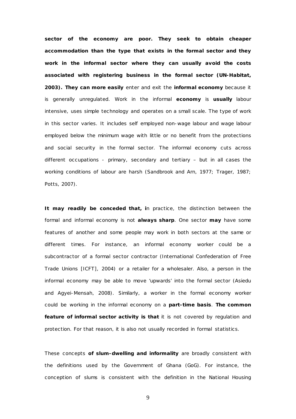**sector of the economy are poor. They seek to obtain cheaper accommodation than the type that exists in the formal sector and they work in the informal sector where they can usually avoid the costs associated with registering business in the formal sector (UN-Habitat, 2003). They can more easily** enter and exit the **informal economy** because it is generally unregulated. Work in the informal **economy** is **usually** labour intensive, uses simple technology and operates on a small scale. The type of work in this sector varies. It includes self employed non-wage labour and wage labour employed below the minimum wage with little or no benefit from the protections and social security in the formal sector. The informal economy cuts across different occupations - primary, secondary and tertiary – but in all cases the working conditions of labour are harsh (Sandbrook and Arn, 1977; Trager, 1987; Potts, 2007).

**It may readily be conceded that, i**n practice, the distinction between the formal and informal economy is not **always sharp**. One sector **may** have some features of another and some people may work in both sectors at the same or different times. For instance, an informal economy worker could be a subcontractor of a formal sector contractor (International Confederation of Free Trade Unions [ICFT], 2004) or a retailer for a wholesaler. Also, a person in the informal economy may be able to move 'upwards' into the formal sector (Asiedu and Agyei-Mensah, 2008). Similarly, a worker in the formal economy worker could be working in the informal economy on a **part-time basis**. **The common feature of informal sector activity is that** it is not covered by regulation and protection. For that reason, it is also not usually recorded in formal statistics.

These concepts **of slum-dwelling and informality** are broadly consistent with the definitions used by the Government of Ghana (GoG). For instance, the conception of slums is consistent with the definition in the National Housing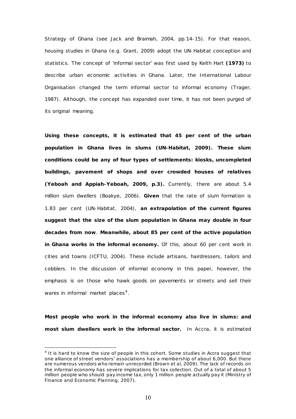Strategy of Ghana (see Jack and Braimah, 2004, pp.14-15). For that reason, housing studies in Ghana (e.g. Grant, 2009) adopt the UN-Habitat conception and statistics. The concept of 'informal sector' was first used by Keith Hart **(1973)** to describe urban economic activities in Ghana. Later, the International Labour Organisation changed the term informal sector to informal *economy* (Trager, 1987)*.* Although, the concept has expanded over time, it has not been purged of its original meaning.

**Using these concepts, it is estimated that 45 per cent of the urban population in Ghana lives in slums (UN-Habitat, 2009). These slum conditions could be any of four types of settlements: kiosks, uncompleted buildings, pavement of shops and over crowded houses of relatives (Yeboah and Appiah-Yeboah, 2009, p.3).** Currently, there are about 5.4 million slum dwellers (Boakye, 2006). **Given** that the rate of slum formation is 1.83 per cent (UN-Habitat, 2004), **an extrapolation of the current figures suggest that the size of the slum population in Ghana may double in four decades from now**. **Meanwhile, about 85 per cent of the active population in Ghana works in the informal economy.** Of this, about 60 per cent work in cities and towns (ICFTU, 2004). These include artisans, hairdressers, tailors and cobblers. In the discussion of informal economy in this paper, however, the emphasis is on those who hawk goods on pavements or streets and sell their wares in informal market places<sup>[4](#page-9-0)</sup>.

**Most people who work in the informal economy also live in slums: and most slum dwellers work in the informal sector.** In Accra, it is estimated

<u>.</u>

<span id="page-9-0"></span><sup>&</sup>lt;sup>4</sup> It is hard to know the size of people in this cohort. Some studies in Accra suggest that one alliance of street vendors' associations has a membership of about 6,000. But there are numerous vendors who remain unrecorded (Brown et al, 2009). The lack of records on the informal economy has severe implications for tax collection. Out of a total of about 5 million people who should pay income tax, only 1 million people actually pay it (Ministry of Finance and Economic Planning, 2007).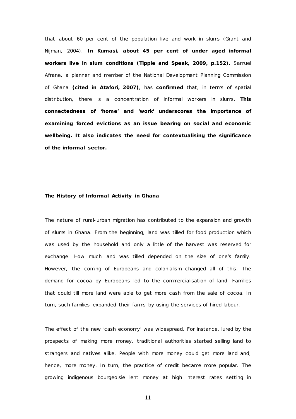that about 60 per cent of the population live and work in slums (Grant and Nijman, 2004). **In Kumasi, about 45 per cent of under aged informal workers live in slum conditions (Tipple and Speak, 2009, p.152).** Samuel Afrane, a planner and member of the National Development Planning Commission of Ghana **(cited in Atafori, 2007)**, has **confirmed** that, in terms of spatial distribution, there is a concentration of informal workers in slums. **This connectedness of 'home' and 'work' underscores the importance of examining forced evictions as an issue bearing on social and economic wellbeing. It also indicates the need for contextualising the significance of the informal sector.**

## *The History of Informal Activity in Ghana*

The *nature* of rural-urban migration has contributed to the expansion and growth of slums in Ghana. From the beginning, land was tilled for food production which was used by the household and only a little of the harvest was reserved for exchange. How much land was tilled depended on the size of one's family. However, the coming of Europeans and colonialism changed all of this. The demand for cocoa by Europeans led to the commercialisation of land. Families that could till more land were able to get more cash from the sale of cocoa. In turn, such families expanded their farms by using the services of hired labour.

The effect of the new 'cash economy' was widespread. For instance, lured by the prospects of making more money, traditional authorities started selling land to strangers and natives alike. People with more money could get more land and, hence, more money. In turn, the practice of credit became more popular. The growing indigenous bourgeoisie lent money at high interest rates setting in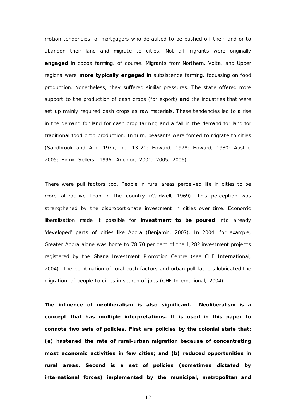motion tendencies for mortgagors who defaulted to be pushed off their land or to abandon their land and migrate to cities. Not all migrants were originally **engaged in** cocoa farming, of course. Migrants from Northern, Volta, and Upper regions were **more typically engaged in** subsistence farming, focussing on food production. Nonetheless, they suffered similar pressures. The state offered more support to the production of cash crops (for export) **and** the industries that were set up mainly required cash crops as raw materials. These tendencies led to a rise in the demand for land for cash crop farming and a fall in the demand for land for traditional food crop production. In turn, peasants were forced to migrate to cities (Sandbrook and Arn, 1977, pp. 13-21; Howard, 1978; Howard, 1980; Austin, 2005; Firmin-Sellers, 1996; Amanor, 2001; 2005; 2006).

There were pull factors too. People in rural areas perceived life in cities to be more attractive than in the country (Caldwell, 1969). This perception was strengthened by the disproportionate investment in cities over time. Economic liberalisation made it possible for **investment to be poured** into already 'developed' parts of cities like Accra (Benjamin, 2007). In 2004, for example, Greater Accra alone was home to 78.70 per cent of the 1,282 investment projects registered by the Ghana Investment Promotion Centre (see CHF International, 2004). The combination of rural push factors and urban pull factors lubricated the migration of people to cities in search of jobs (CHF International, 2004).

**The influence of neoliberalism is also significant. Neoliberalism is a concept that has multiple interpretations. It is used in this paper to connote two sets of policies. First are policies by the colonial state that: (a) hastened the rate of rural-urban migration because of concentrating most economic activities in few cities; and (b) reduced opportunities in rural areas. Second is a set of policies (sometimes dictated by international forces) implemented by the municipal, metropolitan and**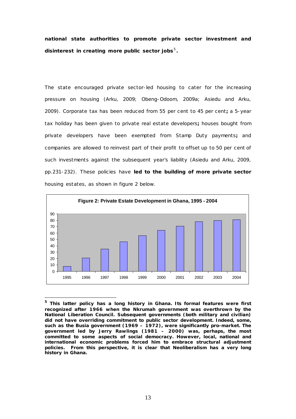**national state authorities to promote private sector investment and disinterest in creating more public sector jobs**[5](#page-12-0)**.**

The state encouraged private sector-led housing to cater for the increasing pressure on housing (Arku, 2009; Obeng-Odoom, 2009a; Asiedu and Arku, 2009). Corporate tax has been reduced from 55 per cent to 45 per cent**;** a 5-year tax holiday has been given to private real estate developers**;** houses bought from private developers have been exempted from Stamp Duty payments**;** and companies are allowed to reinvest part of their profit to offset up to 50 per cent of such investments against the subsequent year's liability (Asiedu and Arku, 2009, pp.231-232). These policies have **led to the building of more private sector**  housing estates, as shown in figure 2 below.



<span id="page-12-0"></span>**<sup>5</sup> This latter policy has a long history in Ghana. Its formal features were first recognized after 1966 when the Nkrumah government was overthrown by the National Liberation Council. Subsequent governments (both military and civilian) did not have overriding commitment to public sector development. Indeed, some, such as the Busia government (1969 – 1972), were significantly pro-market. The government led by Jerry Rawlings (1981 – 2000) was, perhaps, the most committed to some aspects of social democracy. However, local, national and international economic problems forced him to embrace structural adjustment policies. From this perspective, it is clear that Neoliberalism has a very long history in Ghana.** 

-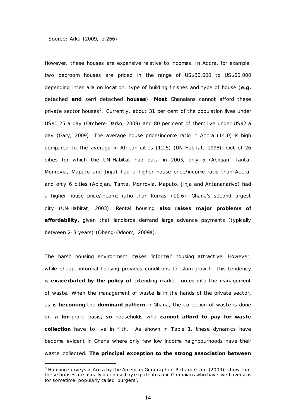#### Source: Arku (2009, p.266)

<u>.</u>

However, these houses are expensive relative to incomes. In Accra, for example, two bedroom houses are priced in the range of US\$30,000 to US\$60,000 depending *inter alia* on location, type of building finishes and type of house (**e.g.**  detached **and** semi detached **houses**). **Most** Ghanaians cannot afford these private sector houses<sup>[6](#page-13-0)</sup>. Currently, about 31 per cent of the population lives under US\$1.25 a day (Otchere-Darko, 2009) and 80 per cent of them live under US\$2 a day (Gary, 2009). The average house price/income ratio in Accra (14.0) is high compared to the average in African cities (12.5) (UN-Habitat, 1998). Out of 26 cities for which the UN-Habitat had data in 2003, only 5 (Abidjan, Tanta, Monrovia, Maputo and Jinja) had a higher house price/income ratio than Accra, and only 6 cities (Abidjan, Tanta, Monrovia, Maputo, Jinja and Antananarivo) had a higher house price/income ratio than Kumasi (11.6), Ghana's second largest city (UN-Habitat, 2003). Rental housing **also raises major problems of affordability,** given that landlords demand large advance payments (typically between 2-3 years) (Obeng-Odoom, 2009a).

The harsh housing environment makes 'informal' housing attractive. However, while cheap, informal housing provides conditions for slum growth. This tendency is **exacerbated by the policy of** extending market forces into the management of waste. When the management of waste **is** in the hands of the private sector**,** as is **becoming** the **dominant pattern** in Ghana, the collection of waste is done on **a for-**profit basis**, so** households who **cannot afford to pay for waste collection** have to live in filth. As shown in Table 1, these dynamics have become evident in Ghana where only few low income neighbourhoods have their waste collected. **The principal exception to the strong association between** 

<span id="page-13-0"></span><sup>&</sup>lt;sup>6</sup> Housing surveys in Accra by the American Geographer, Richard Grant (2009), show that these houses are usually purchased by expatriates and Ghanaians who have lived overseas for sometime, popularly called 'burgers'.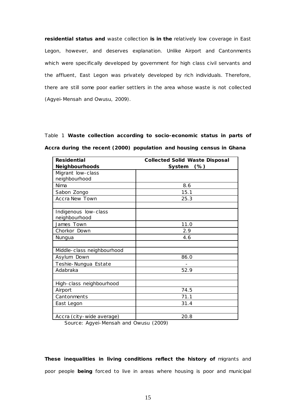**residential status and** waste collection **is in the** relatively low coverage in East Legon, however, and deserves explanation. Unlike Airport and Cantonments which were specifically developed by government for high class civil servants and the affluent, East Legon was privately developed by rich individuals. Therefore, there are still some poor earlier settlers in the area whose waste is not collected (Agyei-Mensah and Owusu, 2009).

Table 1 **Waste collection according to socio-economic status in parts of Accra during the recent (2000) population and housing census in Ghana**

| <b>Residential</b>         | <b>Collected Solid Waste Disposal</b> |
|----------------------------|---------------------------------------|
| Neighbourhoods             | System<br>$(\%)$                      |
| Migrant low-class          |                                       |
| neighbourhood              |                                       |
| Nima                       | 8.6                                   |
| Sabon Zongo                | 15.1                                  |
| <b>Accra New Town</b>      | 25.3                                  |
|                            |                                       |
| Indigenous low-class       |                                       |
| neighbourhood              |                                       |
| James Town                 | 11.0                                  |
| Chorkor Down               | 2.9                                   |
| Nungua                     | 4.6                                   |
|                            |                                       |
| Middle-class neighbourhood |                                       |
| Asylum Down                | 86.0                                  |
| Teshie-Nungua Estate       |                                       |
| Adabraka                   | 52.9                                  |
|                            |                                       |
| High-class neighbourhood   |                                       |
| Airport                    | 74.5                                  |
| Cantonments                | 71.1                                  |
| East Legon                 | 31.4                                  |
|                            |                                       |
| Accra (city-wide average)  | 20.8                                  |

Source: Agyei-Mensah and Owusu (2009)

**These inequalities in living conditions reflect the history of migrants and** poor people **being** forced to live in areas where housing is poor and municipal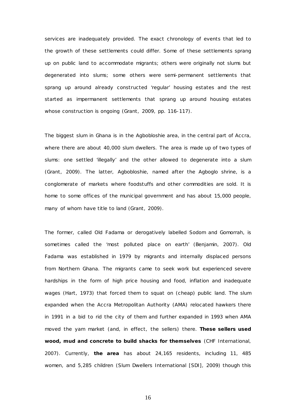services are inadequately provided. The exact chronology of events that led to the growth of these settlements could differ. Some of these settlements sprang up on public land to accommodate migrants; others were originally not slums but degenerated into slums; some others were semi-permanent settlements that sprang up around *already constructed* 'regular' housing estates and the rest started as impermanent settlements that sprang up around housing estates whose construction is *ongoing* (Grant, 2009, pp. 116-117).

The biggest slum in Ghana is in the Agbobloshie area, in the central part of Accra, where there are about 40,000 slum dwellers. The area is made up of two types of slums: one settled 'illegally' and the other allowed to degenerate into a slum (Grant, 2009). The latter, Agbobloshie, named after the Agboglo shrine, is a conglomerate of markets where foodstuffs and other commodities are sold. It is home to some offices of the municipal government and has about 15,000 people, many of whom have title to land (Grant, 2009).

The former, called Old Fadama or derogatively labelled Sodom and Gomorrah, is sometimes called the 'most polluted place on earth' (Benjamin, 2007). Old Fadama was established in 1979 by migrants and internally displaced persons from Northern Ghana. The migrants came to seek work but experienced severe hardships in the form of high price housing and food, inflation and inadequate wages (Hart, 1973) that forced them to squat on (cheap) public land. The slum expanded when the Accra Metropolitan Authority (AMA) relocated hawkers there in 1991 in a bid to rid the city of them and further expanded in 1993 when AMA moved the yam market (and, in effect, the sellers) there. **These sellers used wood, mud and concrete to build shacks for themselves** (CHF International, 2007). Currently, **the area** has about 24,165 residents, including 11, 485 women, and 5,285 children (Slum Dwellers International [SDI], 2009) though this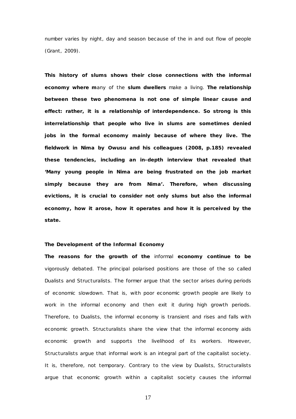number varies by night, day and season because of the in and out flow of people (Grant, 2009).

**This history of slums shows their close connections with the informal economy where m**any of the **slum dwellers** make a living. **The relationship between these two phenomena is not one of simple linear cause and effect: rather, it is a relationship of interdependence. So strong is this interrelationship that people who live in slums are sometimes denied jobs in the formal economy mainly because of where they live. The fieldwork in Nima by Owusu and his colleagues (2008, p.185) revealed these tendencies, including an in-depth interview that revealed that 'Many young people in Nima are being frustrated on the job market simply because they are from Nima'. Therefore, when discussing evictions, it is crucial to consider not only slums but also the informal economy, how it arose, how it operates and how it is perceived by the state.**

## **The Development of the Informal Economy**

**The reasons for the growth of the** informal **economy continue to be** vigorously debated. The principal polarised positions are those of the so called Dualists and Structuralists. The former argue that the sector arises during periods of economic slowdown. That is, with poor economic growth people are likely to work in the informal economy and then exit it during high growth periods. Therefore, to Dualists, the informal economy is transient and rises and falls with economic growth. Structuralists share the view that the informal economy aids economic growth and supports the livelihood of its workers. However, Structuralists argue that informal work is an integral part of the capitalist society. It is, therefore, not temporary. Contrary to the view by Dualists, Structuralists argue that economic growth within a capitalist society causes the informal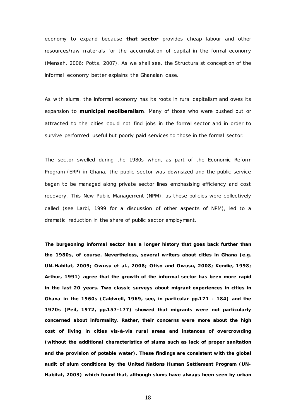economy to expand because **that sector** provides cheap labour and other resources/raw materials for the accumulation of capital in the formal economy (Mensah, 2006; Potts, 2007). As we shall see, the Structuralist conception of the informal economy better explains the Ghanaian case.

As with slums, the informal economy has its roots in rural capitalism and owes its expansion to **municipal neoliberalism**. Many of those who were pushed out or attracted to the cities could not find jobs in the formal sector and in order to survive performed useful but poorly paid services to those in the formal sector.

The sector swelled during the 1980s when, as part of the Economic Reform Program (ERP) in Ghana, the public sector was downsized and the public service began to be managed along private sector lines emphasising efficiency and cost recovery. This New Public Management (NPM), as these policies were collectively called (see Larbi, 1999 for a discussion of other aspects of NPM), led to a dramatic reduction in the share of public sector employment.

**The burgeoning informal sector has a longer history that goes back further than the 1980s, of course. Nevertheless, several writers about cities in Ghana (e.g. UN-Habitat, 2009; Owusu** *et al.,* **2008; Otiso and Owusu, 2008; Kendie, 1998; Arthur, 1991) agree that the growth of the informal sector has been more rapid in the last 20 years. Two classic surveys about migrant experiences in cities in Ghana in the 1960s (Caldwell, 1969, see, in particular pp.171 - 184) and the 1970s (Peil, 1972, pp.157-177) showed that migrants were not particularly concerned about informality. Rather, their concerns were more about the high cost of living in cities vis-à-vis rural areas and instances of overcrowding (without the additional characteristics of slums such as lack of proper sanitation and the provision of potable water). These findings are consistent with the global audit of slum conditions by the United Nations Human Settlement Program (UN-Habitat, 2003) which found that, although slums have always been seen by urban**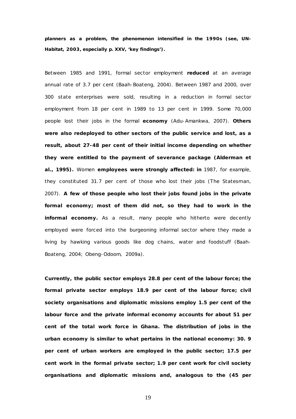**planners as a problem, the phenomenon intensified in the 1990s (see, UN-Habitat, 2003, especially p. XXV, 'key findings').**

Between 1985 and 1991, formal sector employment **reduced** at an average annual rate of 3.7 per cent (Baah-Boateng, 2004). Between 1987 and 2000, over 300 state enterprises were sold, resulting in a reduction in formal sector employment from 18 per cent in 1989 to 13 per cent in 1999. Some 70,000 people lost their jobs in the formal **economy** (Adu-Amankwa, 2007). **Others were also redeployed to other sectors of the public service and lost, as a result, about 27-48 per cent of their initial income depending on whether they were entitled to the payment of severance package (Alderman** *et al***., 1995).** Women **employees were strongly affected: in** 1987, for example, they constituted 31.7 per cent of those who lost their jobs (*The Statesman,*  2007). **A few of those people who lost their jobs found jobs in the private formal economy; most of them did not, so they had to work in the informal economy.** As a result, many people who hitherto were decently employed were forced into the burgeoning informal sector where they made a living by hawking various goods like dog chains, water and foodstuff (Baah-Boateng, 2004; Obeng-Odoom, 2009a).

**Currently, the public sector employs 28.8 per cent of the labour force; the formal private sector employs 18.9 per cent of the labour force; civil society organisations and diplomatic missions employ 1.5 per cent of the labour force and the private informal economy accounts for about 51 per cent of the total work force in Ghana. The distribution of jobs in the urban economy is similar to what pertains in the national economy: 30. 9 per cent of urban workers are employed in the public sector; 17.5 per cent work in the formal private sector; 1.9 per cent work for civil society organisations and diplomatic missions and, analogous to the (45 per**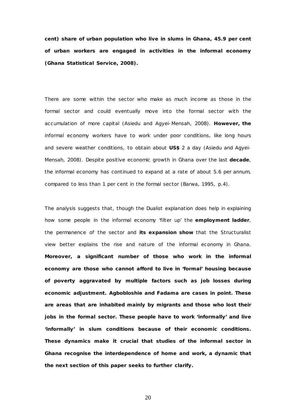**cent) share of urban population who live in slums in Ghana, 45.9 per cent of urban workers are engaged in activities in the informal economy (Ghana Statistical Service, 2008).**

There are some within the sector who make as much income as those in the formal sector and could eventually move into the formal sector with the accumulation of more capital (Asiedu and Agyei-Mensah, 2008). **However, the** informal economy workers have to work under poor conditions, like long hours and severe weather conditions, to obtain about **US\$** 2 a day (Asiedu and Agyei-Mensah, 2008). Despite positive economic growth in Ghana over the last **decade**, the informal economy has continued to expand at a rate of about 5.6 per annum, compared to less than 1 per cent in the formal sector (Barwa, 1995, p.4).

The analysis suggests that, though the Dualist explanation does help in explaining how some people in the informal economy 'filter up' the **employment ladder**, the permanence of the sector and **its expansion show** that the Structuralist view better explains the rise and nature of the informal economy in Ghana. **Moreover, a significant number of those who work in the informal economy are those who cannot afford to live in 'formal' housing because of poverty aggravated by multiple factors such as job losses during economic adjustment. Agbobloshie and Fadama are cases in point. These are areas that are inhabited mainly by migrants and those who lost their jobs in the formal sector. These people have to work 'informally' and live 'informally' in slum conditions because of their economic conditions. These dynamics make it crucial that studies of the informal sector in Ghana recognise the interdependence of home and work, a dynamic that the next section of this paper seeks to further clarify.**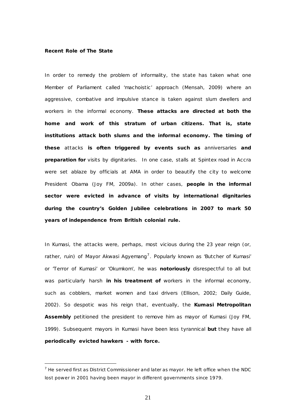# *Recent Role of The State*

<u>.</u>

In order to remedy the problem of informality, the state has taken what one Member of Parliament called 'machoistic' approach (Mensah, 2009) where an aggressive, combative and impulsive stance is taken against slum dwellers and workers in the informal economy. **These attacks are directed at both the home and work of this stratum of urban citizens. That is, state institutions attack both slums and the informal economy. The timing of these** attacks **is often triggered by events such as** anniversaries **and preparation for** visits by dignitaries. In one case, stalls at Spintex road in Accra were set ablaze by officials at AMA in order to beautify the city to welcome President Obama (Joy FM, 2009a). In other cases, **people in the informal sector were evicted in advance of visits by international dignitaries during the country's Golden Jubilee celebrations in 2007 to mark 50 years of independence from British colonial rule.**

In Kumasi, the attacks were, perhaps, most vicious during the 23 year reign (or, rather, ruin) of Mayor Akwasi Agyemang<sup>[7](#page-20-0)</sup>. Popularly known as 'Butcher of Kumasi' or 'Terror of Kumasi' or 'Okumkom', he was **notoriously** disrespectful to all but was particularly harsh **in his treatment of** workers in the informal economy, such as cobblers, market women and taxi drivers (Ellison, 2002; Daily Guide, 2002). So despotic was his reign that, eventually, the **Kumasi Metropolitan Assembly** petitioned the president to remove him as mayor of Kumasi (Joy FM, 1999). Subsequent mayors in Kumasi have been less tyrannical **but** they have all **periodically evicted hawkers - with force.**

<span id="page-20-0"></span> $<sup>7</sup>$  He served first as District Commissioner and later as mayor. He left office when the NDC</sup> lost power in 2001 having been mayor in different governments since 1979.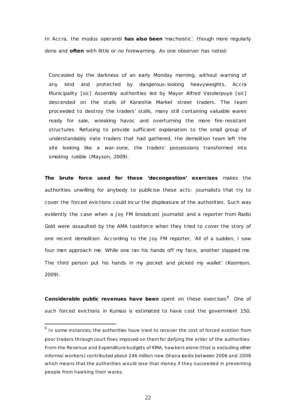In Accra, the *modus operandi* **has also been** 'machoistic', though more regularly done and **often** with little or no forewarning. As one observer has noted:

Concealed by the darkness of an early Monday morning, without warning of any kind and protected by dangerous-looking heavyweights, Accra Municipality [sic] Assembly authorities led by Mayor Alfred Vanderpuye [sic] descended on the stalls of Kaneshie Market street traders. The team proceeded to destroy the traders' stalls, many still containing valuable wares ready for sale, wreaking havoc and overturning the more fire-resistant structures. Refusing to provide sufficient explanation to the small group of understandably irate traders that had gathered, the demolition team left the site looking like a war-zone, the traders' possessions transformed into smoking rubble (Mayson, 2009).

**The brute force used for these 'decongestion' exercises** makes the authorities unwilling for anybody to publicise these acts: journalists that try to cover the forced evictions could incur the displeasure of the authorities. Such was evidently the case when a Joy FM broadcast journalist and a reporter from Radio Gold were assaulted by the AMA taskforce when they tried to cover the story of one recent demolition. According to the Joy FM reporter, 'All of a sudden, I saw four men approach me. While one ran his hands off my face, another slapped me. The third person put his hands in my pocket and picked my wallet' (Koomson, 2009).

**Considerable public revenues have been** spent on these exercises<sup>[8](#page-21-0)</sup>. One of such forced evictions in Kumasi is estimated to have cost the government 150,

<span id="page-21-0"></span> $8$  In some instances, the authorities have tried to recover the cost of forced eviction from poor traders through court fines imposed on them for defying the order of the authorities. From the Revenue and Expenditure budgets of KMA, hawkers alone (that is excluding other informal workers) contributed about 246 million new Ghana **c**edis between 2006 and 2008 which means that the authorities would lose that money if they succeeded in preventing people from hawking their wares.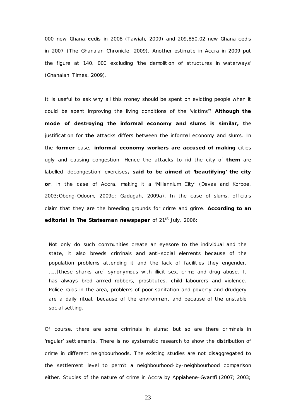000 new Ghana **c**edis in 2008 (Tawiah, 2009) and 209,850.02 new Ghana cedis in 2007 (*The Ghanaian Chronicle,* 2009). Another estimate in Accra in 2009 put the figure at 140, 000 excluding 'the demolition of structures in waterways' (*Ghanaian Times*, 2009).

It is useful to ask why all this money should be spent on evicting people when it could be spent improving the living conditions of the 'victims'? **Although the mode of destroying the informal economy and slums is similar, t**he justification for **the** attacks differs between the informal economy and slums. In the **former** case, **informal economy workers are accused of making** cities ugly and causing congestion. Hence the attacks to rid the city of **them** are labelled 'decongestion' exercises**, said to be aimed at 'beautifying' the city or**, in the case of Accra, making it a 'Millennium City' (Devas and Korboe, 2003;Obeng-Odoom, 2009c; Gadugah, 2009a). In the case of slums, officials claim that they are the breeding grounds for crime and grime. **According to an editorial in The Statesman newspaper** of 21<sup>st</sup> July, 2006:

Not only do such communities create an eyesore to the individual and the state, it also breeds criminals and anti-social elements because of the population problems attending it and the lack of facilities they engender. …..[these sharks are] synonymous with illicit sex, crime and drug abuse. It has always bred armed robbers, prostitutes, child labourers and violence. Police raids in the area, problems of poor sanitation and poverty and drudgery are a daily ritual, because of the environment and because of the unstable social setting.

Of course, there are some criminals in slums; but so are there criminals in 'regular' settlements. There is no systematic research to show the distribution of crime in different neighbourhoods. The existing studies are not disaggregated to the settlement level to permit a neighbourhood-by-neighbourhood comparison either. Studies of the nature of crime in Accra by Appiahene-Gyamfi (2007; 2003;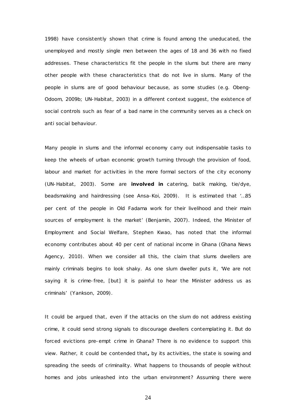1998) have consistently shown that crime is found among the uneducated, the unemployed and mostly single men between the ages of 18 and 36 with no fixed addresses. These characteristics fit the people in the slums but there are many other people with these characteristics that do not live in slums. Many of the people in slums are of good behaviour because, as some studies (e.g. Obeng-Odoom, 2009b; UN-Habitat, 2003) in a different context suggest, the existence of social controls such as fear of a bad name in the community serves as a check on anti social behaviour.

Many people in slums and the informal economy carry out indispensable tasks to keep the wheels of urban economic growth turning through the provision of food, labour and market for activities in the more formal sectors of the city economy (UN-Habitat, 2003). Some are **involved in** catering, batik making, tie/dye, beadsmaking and hairdressing (see Ansa-Koi, 2009). It is estimated that '…85 per cent of the people in Old Fadama work for their livelihood and their main sources of employment is the market' (Benjamin, 2007). Indeed, the Minister of Employment and Social Welfare, Stephen Kwao, has noted that the informal economy contributes about 40 per cent of national income in Ghana (Ghana News Agency, 2010). When we consider all this, the claim that slums dwellers are mainly criminals begins to look shaky. As one slum dweller puts it, 'We are not saying it is crime-free, [but] it is painful to hear the Minister address us as criminals' (Yankson, 2009).

It could be argued that, even if the attacks on the slum do not address existing crime, it could send strong signals to discourage dwellers contemplating it. But do forced evictions pre-empt crime in Ghana? There is no evidence to support this view. Rather, it could be contended that**,** by its activities, the state is sowing and spreading the seeds of criminality. What happens to thousands of people without homes and jobs unleashed into the urban environment? Assuming there were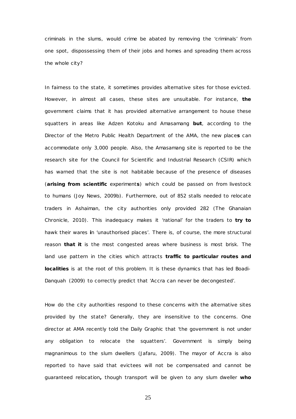criminals in the slums, would crime be abated by removing the 'criminals' from one spot, dispossessing them of their jobs and homes and spreading them across the whole city?

In fairness to the state, it sometimes provides alternative sites for those evicted. However, in almost all cases, these sites are unsuitable. For instance, **the**  government claims that it has provided alternative arrangement to house these squatters in areas like Adzen Kotoku and Amasamang **but**, according to the Director of the Metro Public Health Department of the AMA, the new place**s** can accommodate only 3,000 people. Also, the Amasamang site is reported to be the research site for the Council for Scientific and Industrial Research (CSIR) which has warned that the site is not habitable because of the presence of diseases (**arising from scientific** experiment**s**) which could be passed on from livestock to humans (Joy News, 2009b). Furthermore, out of 852 stalls needed to relocate traders in Ashaiman, the city authorities only provided 282 (*The Ghanaian Chronicle,* 2010). This inadequacy makes it 'rational' for the traders to **try to**  hawk their wares **i**n 'unauthorised places'. There is, of course, the more structural reason **that it** is the most congested areas where business is most brisk. The land use pattern in the cities which attracts **traffic to particular routes and localities** is at the root of this problem. It is these dynamics that has led Boadi-Danquah (2009) to correctly predict that 'Accra can never be decongested'.

How do the city authorities respond to these concerns with the alternative sites provided by the state? Generally, they are insensitive to the concerns. One director at AMA recently told the *Daily Graphic* that 'the government is not under any obligation to relocate the squatters'. Government is simply being magnanimous to the slum dwellers (Jafaru, 2009). The mayor of Accra is also reported to have said that evictees will not be compensated and cannot be guaranteed relocation**,** though transport will be given to any slum dweller **who**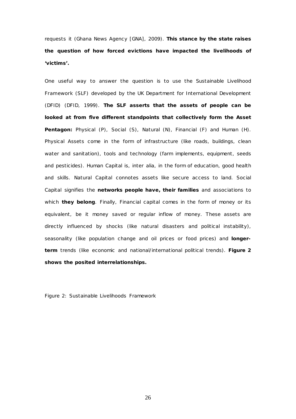requests it (Ghana News Agency [GNA], 2009). **This stance by the state raises the question of how forced evictions have impacted the livelihoods of 'victims'.**

One useful way to answer the question is to use the *Sustainable Livelihood Framework* (SLF) developed by the UK Department for International Development (DFID) (DFID, 1999). **The SLF asserts that the assets of people can be looked at from five different standpoints that collectively form the** *Asset*  **Pentagon:** Physical (P), Social (S), Natural (N), Financial (F) and Human (H). Physical Assets come in the form of infrastructure (like roads, buildings, clean water and sanitation), tools and technology (farm implements, equipment, seeds and pesticides). Human Capital is, *inter alia*, in the form of education, good health and skills. Natural Capital connotes assets like secure access to land. Social Capital signifies the **networks people have, their families** and associations to which **they belong**. Finally, Financial capital comes in the form of money or its equivalent, be it money saved or regular inflow of money. These assets are directly influenced by shocks (like natural disasters and political instability), seasonality (like population change and oil prices or food prices) and **longerterm** trends (like economic and national/international political trends). **Figure 2 shows the posited interrelationships.**

Figure 2: Sustainable Livelihoods Framework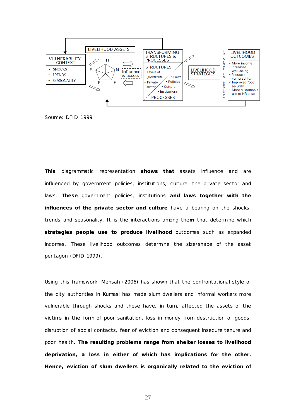

Source: DFID 1999

**This** diagrammatic representation **shows that** assets influence and are influenced by government policies, institutions, culture, the private sector and laws. **These** government policies, institutions **and laws together with the influences of the private sector and culture** have a bearing on the shocks, trends and seasonality. It is the interactions among the**m** that determine which **strategies people use to produce livelihood** outcomes such as expanded incomes. These livelihood outcomes determine the size/shape of the asset pentagon (DFID 1999).

Using this framework, Mensah (2006) has shown that the confrontational style of the city authorities in Kumasi has made slum dwellers and informal workers more vulnerable through shocks and these have, in turn, affected the assets of the victims in the form of poor sanitation, loss in money from destruction of goods, disruption of social contacts, fear of eviction and consequent insecure tenure and poor health. **The resulting problems range from shelter losses to livelihood deprivation, a loss in either of which has implications for the other. Hence, eviction of slum dwellers is organically related to the eviction of**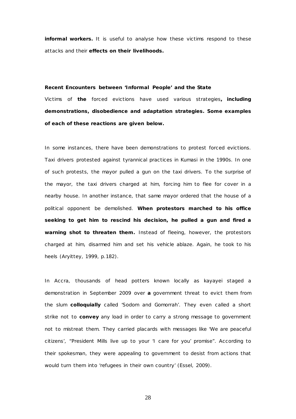**informal workers.** It is useful to analyse how these victims respond to these attacks and their **effects on their livelihoods.**

### *Recent Encounters between 'Informal People' and the State*

Victims of **the** forced evictions have used various strategies**, including demonstrations, disobedience and adaptation strategies. Some examples of each of these reactions are given below.** 

In some instances, there have been demonstrations to protest forced evictions. Taxi drivers protested against tyrannical practices in Kumasi in the 1990s. In one of such protests, the mayor pulled a gun on the taxi drivers. To the surprise of the mayor, the taxi drivers charged at him, forcing him to flee for cover in a nearby house. In another instance, that same mayor ordered that the house of a political opponent be demolished. **When protestors marched to his office seeking to get him to rescind his decision, he pulled a gun and fired a warning shot to threaten them.** Instead of fleeing, however, the protestors charged at him, disarmed him and set his vehicle ablaze. Again, he took to his heels (Aryittey, 1999, p.182).

In Accra, thousands of head potters known locally as *kayayei* staged a demonstration in September 2009 over **a** government threat to evict them from the slum **colloquially** called 'Sodom and Gomorrah'. They even called a short strike not to **convey** any load in order to carry a strong message to government not to mistreat them. They carried placards with messages like 'We are peaceful citizens', "President Mills live up to your 'I care for you' promise". According to their spokesman, they were appealing to government to desist from actions that would turn them into 'refugees in their own country' (Essel, 2009).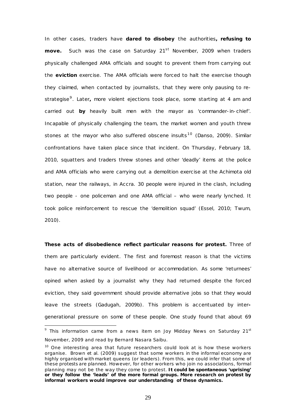In other cases, traders have **dared to disobey** the authorities**, refusing to move.** Such was the case on Saturday 21<sup>st</sup> November, 2009 when traders physically challenged AMA officials and sought to prevent them from carrying out the **eviction** exercise. The AMA officials were forced to halt the exercise though they claimed, when contacted by journalists, that they were only pausing to restrategise[9](#page-28-0). Later**,** more violent ejections took place, some starting at 4 am and carried out **by** heavily built men with the mayor as 'commander-in-chief'. Incapable of physically challenging the team, the market women and youth threw stones at the mayor who also suffered obscene insults<sup>10</sup> (Danso, 2009). Similar confrontations have taken place since that incident. On Thursday, February 18, 2010, squatters and traders threw stones and other 'deadly' items at the police and AMA officials who were carrying out a demolition exercise at the Achimota old station, near the railways, in Accra. 30 people were injured in the clash, including two people - one policeman and one AMA official – who were nearly lynched. It took police reinforcement to rescue the 'demolition squad' (Essel, 2010; Twum, 2010).

**These acts of disobedience reflect particular reasons for protest.** Three of them are particularly evident. The first and foremost reason is that the victims have no alternative source of livelihood or accommodation. As some 'returnees' opined when asked by a journalist why they had returned despite the forced eviction, they said government should provide alternative jobs so that they would leave the streets (Gadugah, 2009b). This problem is accentuated by intergenerational pressure on some of these people. One study found that about 69

<span id="page-28-0"></span> $9$  This information came from a news item on Joy Midday News on Saturday 21st November, 2009 and read by Bernard Nasara Saibu.

<span id="page-28-1"></span> $10$  One interesting area that future researchers could look at is how these workers organise. Brown *et al.* (2009) suggest that some workers in the informal economy are highly organised with market queens (or leaders). From this, we could infer that some of these protests are planned. However, for other workers who join no associations, formal planning may not be the way they come to protest. **It could be spontaneous 'uprising' or they follow the 'leads' of the more formal groups. More research on protest by informal workers would improve our understanding of these dynamics.**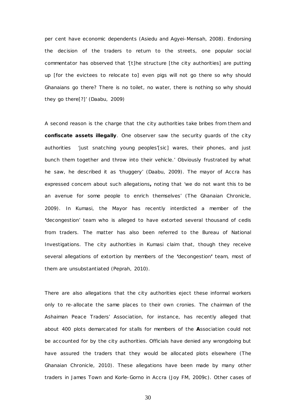per cent have economic dependents (Asiedu and Agyei-Mensah, 2008). Endorsing the decision of the traders to return to the streets, one popular social commentator has observed that '[t]he structure [the city authorities] are putting up [for the evictees to relocate to] even pigs will not go there so why should Ghanaians go there? There is no toilet, no water, there is nothing so why should they go there[?]' (Daabu, 2009)

A second reason is the charge that the city authorities take bribes from them and **confiscate assets illegally**. One observer saw the security guards of the city authorities 'just snatching young peoples'[sic] wares, their phones, and just bunch them together and throw into their vehicle.' Obviously frustrated by what he saw, he described it as 'thuggery' (Daabu, 2009). The mayor of Accra has expressed concern about such allegations**,** noting that 'we do not want this to be an avenue for some people to enrich themselves' (*The Ghanaian Chronicle,*  2009). In Kumasi, the Mayor has recently interdicted a member of the **'**decongestion' team who is alleged to have extorted several thousand of cedis from traders. The matter has also been referred to the Bureau of National Investigations. The city authorities in Kumasi claim that, though they receive several allegations of extortion by members of the **'**decongestion**'** team, most of them are unsubstantiated (Peprah, 2010).

There are also allegations that the city authorities eject these informal workers only to re-allocate the same places to their own cronies. The chairman of the Ashaiman Peace Traders' Association, for instance, has recently alleged that about 400 plots demarcated for stalls for members of the **A**ssociation could not be accounted for by the city authorities. Officials have denied any wrongdoing but have assured the traders that they would be allocated plots elsewhere (*The Ghanaian Chronicle,* 2010). These allegations have been made by many other traders in James Town and Korle-Gorno in Accra (Joy FM, 2009c). Other cases of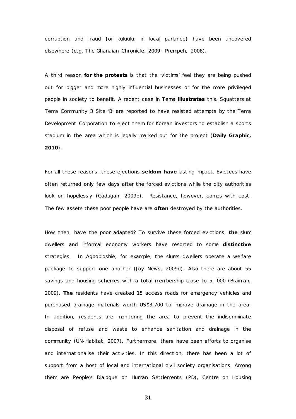corruption and fraud **(**or *kuluulu,* in local parlance**)** have been uncovered elsewhere (e.g. *The Ghanaian Chronicle,* 2009; Prempeh, 2008).

A third reason **for the protests** is that the 'victims' feel they are being pushed out for bigger and more highly influential businesses or for the more privileged people in society to benefit. A recent case in Tema **illustrates** this. Squatters at Tema Community 3 Site 'B' are reported to have resisted attempts by the Tema Development Corporation to eject them for Korean investors to establish a sports stadium in the area which is legally marked out for the project (*Daily Graphic, 2010*).

For all these reasons, these ejections **seldom have** lasting impact. Evictees have often returned only few days after the forced evictions while the city authorities look on hopelessly (Gadugah, 2009b). Resistance, however, comes with cost. The few assets these poor people have are **often** destroyed by the authorities.

How then, have the poor adapted? To survive these forced evictions, **the** slum dwellers and informal economy workers have resorted to some **distinctive**  strategies. In Agbobloshie, for example, the slums dwellers operate a welfare package to support one another (Joy News, 2009d). Also there are about 55 savings and housing schemes with a total membership close to 5, 000 (Braimah, 2009). **The** residents have created 15 access roads for emergency vehicles and purchased drainage materials worth US\$3,700 to improve drainage in the area. In addition, residents are monitoring the area to prevent the indiscriminate disposal of refuse and waste to enhance sanitation and drainage in the community (UN-Habitat, 2007). Furthermore, there have been efforts to organise and internationalise their activities. In this direction, there has been a lot of support from a host of local and international civil society organisations. Among them are People's Dialogue on Human Settlements (PD), Centre on Housing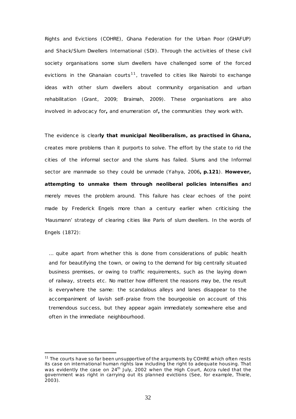Rights and Evictions (COHRE), Ghana Federation for the Urban Poor (GHAFUP) and Shack/Slum Dwellers International (SDI). Through the activities of these civil society organisations some slum dwellers have challenged some of the forced evictions in the Ghanaian courts<sup>11</sup>, travelled to cities like Nairobi to exchange ideas with other slum dwellers about community organisation and urban rehabilitation (Grant, 2009; Braimah, 2009). These organisations are also involved in advocacy for**,** and enumeration of**,** the communities they work with.

The evidence is clear**ly that municipal Neoliberalism, as practised in Ghana,** creates more problems than it purports to solve. The effort by the state to rid the cities of the informal sector and the slums has failed. Slums and the Informal sector are manmade so they could be unmade (Yahya, 2006**, p.121**). **However, attempting to unmake them through neoliberal policies intensifies an**d merely moves the problem around. This failure has clear echoes of the point made by Frederick Engels more than a century earlier when criticising the 'Hausmann' strategy of clearing cities like Paris of slum dwellers. In the words of Engels (1872):

… quite apart from whether this is done from considerations of public health and for beautifying the town, or owing to the demand for big centrally situated business premises, or owing to traffic requirements, such as the laying down of railway, streets etc. No matter how different the reasons may be, the result is everywhere the same: the scandalous alleys and lanes disappear to the accompaniment of lavish self-praise from the bourgeoisie on account of this tremendous success, but they appear again immediately somewhere else and often in the immediate neighbourhood.

<u>.</u>

<span id="page-31-0"></span><sup>&</sup>lt;sup>11</sup> The courts have so far been unsupportive of the arguments by COHRE which often rests its case on international human rights law including the right to adequate housing. That was evidently the case on 24<sup>th</sup> July, 2002 when the High Court, Accra ruled that the government was right in carrying out its planned evictions (See, for example, Thiele, 2003).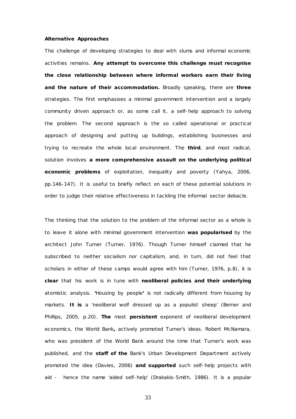#### *Alternative Approaches*

The challenge of developing strategies to deal with slums and informal economic activities remains. **Any attempt to overcome this challenge must recognise the close relationship between where informal workers earn their living and the nature of their accommodation.** Broadly speaking, there are **three** strategies. The first emphasises a minimal government intervention and a largely community driven approach or, as some call it, a self-help approach to solving the problem. The second approach is the so called operational or practical approach of designing and putting up buildings, establishing businesses and trying to recreate the whole local environment. The **third**, and most radical, solution involves **a more comprehensive assault on the underlying political economic problems** of exploitation, inequality and poverty (Yahya, 2006, pp.146-147). It is useful to briefly reflect on each of these potential solutions in order to judge their relative effectiveness in tackling the informal sector debacle.

The thinking that the solution to the problem of the informal sector as a whole is to leave it alone with minimal government intervention **was popularised** by the architect John Turner (Turner, 1976). Though Turner himself claimed that he subscribed to neither socialism nor capitalism, and, in turn, did not feel that scholars in either of these camps would agree with him (Turner, 1976, p.8), it is **clear** that his work is in tune with **neoliberal policies and their underlying**  atomistic analysis. **'**Housing by people**'** is not radically different from housing by markets. **It is** a 'neoliberal wolf dressed up as a populist sheep' (Berner and Phillips, 2005, p.20). **The** most **persistent** exponent of neoliberal development economics, the World Bank**,** actively promoted Turner's ideas. Robert McNamara, who was president of the World Bank around the time that Turner's work was published, and the **staff of the** Bank's Urban Development Department actively promoted the idea (Davies, 2006) **and supported** such self-help projects with aid - hence the name 'aided self-help' (Drakakis-Smith, 1986). It is a popular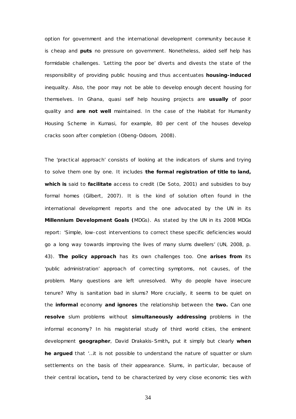option for government and the international development community because it is cheap and **puts** no pressure on government. Nonetheless, aided self help has formidable challenges. 'Letting the poor be' diverts and divests the state of the responsibility of providing public housing and thus accentuates **housing-induced** inequality. Also, the poor may not be able to develop enough decent housing for themselves. In Ghana, quasi self help housing projects are **usually** of poor quality and **are not well** maintained. In the case of the Habitat for Humanity Housing Scheme in Kumasi, for example, 80 per cent of the houses develop cracks soon after completion (Obeng-Odoom, 2008).

The 'practical approach' consists of looking at the indicators of slums and trying to solve them one by one. It includes **the formal registration of title to land, which is** said to **facilitate** access to credit (De Soto, 2001) and subsidies to buy formal homes (Gilbert, 2007). It is the kind of solution often found in the international development reports and the one advocated by the UN in its **Millennium Development Goals (**MDGs). As stated by the UN in its 2008 MDGs report: 'Simple, low-cost interventions to correct these specific deficiencies would go a long way towards improving the lives of many slums dwellers' (UN, 2008, p. 43). **The policy approach** has its own challenges too. One **arises from** its 'public administration' approach of correcting symptoms, not causes, of the problem. Many questions are left unresolved. Why do people have insecure tenure? Why is sanitation bad in slums? More crucially, it seems to be quiet on the **informal** economy **and ignores** the relationship between the **two.** Can one **resolve** slum problems without **simultaneously addressing** problems in the informal economy? In his magisterial study of third world cities, the eminent development **geographer**, David Drakakis-Smith**,** put it simply but clearly **when he argued** that '…it is not possible to understand the nature of squatter or slum settlements on the basis of their appearance. Slums, in particular, because of their central location**,** tend to be characterized by very close economic ties with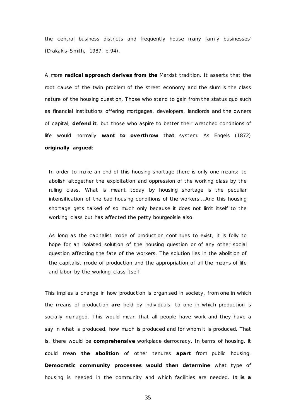the central business districts and frequently house many family businesses' (Drakakis-Smith, 1987, p.94).

A more **radical approach derives from the** Marxist tradition. It asserts that the root cause of the twin problem of the street economy and the slum is the class nature of the housing question. Those who stand to gain from the *status quo* such as financial institutions offering mortgages, developers, landlords and the owners of capital, **defend it**, but those who aspire to better their wretched conditions of life would normally **want to overthrow** th**at** system. As Engels (1872) **originally argued**:

In order to make an end of this housing shortage there is only one means: to abolish altogether the exploitation and oppression of the working class by the ruling class. What is meant today by housing shortage is the peculiar intensification of the bad housing conditions of the workers….And this housing shortage gets talked of so much only because it does not limit itself to the working class but has affected the petty bourgeoisie also.

As long as the capitalist mode of production continues to exist, it is folly to hope for an isolated solution of the housing question or of any other social question affecting the fate of the workers. The solution lies in the abolition of the capitalist mode of production and the appropriation of all the means of life and labor by the working class itself.

This implies a change in how production is organised in society, from one in which the means of production **are** held by individuals, to one in which production is socially managed. This would mean that all people have work and they have a say in what is produced, how much is produced and for whom it is produced. That is, there would be **comprehensive** workplace democracy. In terms of housing, it **c**ould mean **the abolition** of other tenures **apart** from public housing. **Democratic community processes would then determine** what type of housing is needed in the community and which facilities are needed. **It is a**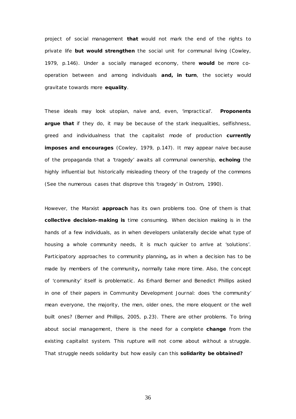project of social management **that** would not mark the end of the rights to private life **but would strengthen** the social unit for communal living (Cowley, 1979, p.146). Under a socially managed economy, there **would** be more cooperation between and among individuals **and, in turn**, the society would gravitate towards more **equality**.

These ideals may look utopian, naive and, even, 'impractical'. **Proponents argue that** if they do, it may be because of the stark inequalities, selfishness, greed and individualness that the capitalist mode of production **currently imposes and encourages** (Cowley, 1979, p.147). It may appear naive because of the propaganda that a 'tragedy' awaits all communal ownership, **echoing** the highly influential but historically misleading theory of the tragedy of the commons (See the numerous cases that disprove this 'tragedy' in Ostrom, 1990).

However, the Marxist **approach** has its own problems too. One of them is that **collective decision-making is** time consuming. When decision making is in the hands of a few individuals, as in when developers unilaterally decide what type of housing a whole community needs, it is much quicker to arrive at 'solutions'. Participatory approaches to community planning**,** as in when a decision has to be made by members of the community**,** normally take more time. Also, the concept of 'community' itself is problematic . As Erhard Berner and Benedict Phillips asked in one of their papers in *Community Development Journal:* does 'the community' mean everyone, the majority, the men, older ones, the more eloquent or the well built ones? (Berner and Phillips, 2005, p.23). There are other problems. To bring about social management, there is the need for a complete **change** from the existing capitalist system. This rupture will not come about without a struggle. That struggle needs solidarity but how easily can this **solidarity be obtained?**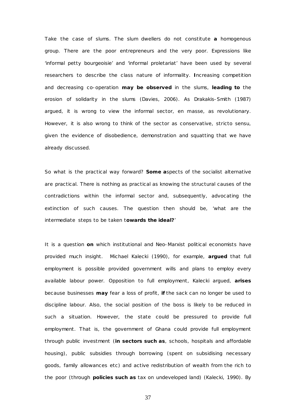Take the case of slums. The slum dwellers do not constitute **a** homogenous group. There are the poor entrepreneurs and the very poor. Expressions like 'informal petty bourgeoisie' and 'informal proletariat' have been used by several researchers to describe the class nature of informality. **I**ncreasing competition and decreasing co-operation **may be observed** in the slums, **leading to** the erosion of solidarity in the slums (Davies, 2006). As Drakakis-Smith (1987) argued, it is wrong to view the informal sector, *en masse,* as revolutionary. However, it is also wrong to think of the sector as conservative, *stricto sensu,* given the evidence of disobedience, demonstration and squatting that we have already discussed.

So what is the practical way forward? **Some a**spects of the socialist alternative *are* practical. There is nothing as practical as knowing the structural causes of the contradictions within the informal sector and, subsequently, advocating the extinction of such causes. The question then should be, 'what are the intermediate steps to be taken t**owards the ideal?**'

It is a question **on** which institutional and Neo-Marxist political economists have provided much insight. Michael Kalecki (1990), for example, **argued** that full employment is possible provided government wills and plans to employ every available labour power. Opposition to full employment, Kalecki argued, **arises**  because businesses **may** fear a loss of profit, **if** the sack can no longer be used to discipline labour. Also, the social position of the boss is likely to be reduced in such a situation. However, the state could be pressured to provide full employment. That is, the government of Ghana could provide full employment through public investment (**in sectors such as**, schools, hospitals and affordable housing), public subsidies through borrowing (spent on subsidising necessary goods, family allowances etc) and active redistribution of wealth from the rich to the poor (through **policies such as** tax on undeveloped land) (Kalecki, 1990). By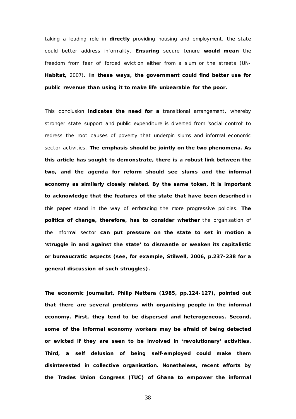taking a leading role in **directly** providing housing and employment, the state could better address informality. **Ensuring** secure tenure **would mean** the freedom from fear of forced eviction either from a slum or the streets (UN-**Habitat,** 2007). **In these ways, the government could find better use for public revenue than using it to make life unbearable for the poor.**

This conclusion **indicates the need for a** transitional arrangement, whereby stronger state support and public expenditure is diverted from 'social control' to redress the root causes of poverty that underpin slums and informal economic sector activities. **The emphasis should be jointly on the two phenomena. As this article has sought to demonstrate, there is a robust link between the two, and the agenda for reform should see slums and the informal economy as similarly closely related. By the same token, it is important to acknowledge that the features of the state that have been described** in this paper stand in the way of embracing the more progressive policies. **The politics of change, therefore, has to consider whether** the organisation of the informal sector **can put pressure on the state to set in motion a 'struggle in and against the state' to dismantle or weaken its capitalistic or bureaucratic aspects (see, for example, Stilwell, 2006, p.237-238 for a general discussion of such struggles).**

**The economic journalist, Philip Mattera (1985, pp.124-127), pointed out that there are several problems with organising people in the informal economy***.* **First, they tend to be dispersed and heterogeneous. Second, some of the informal economy workers may be afraid of being detected or evicted if they are seen to be involved in 'revolutionary' activities. Third, a self delusion of being self-employed could make them disinterested in collective organisation. Nonetheless, recent efforts by the Trades Union Congress (TUC) of Ghana to empower the informal**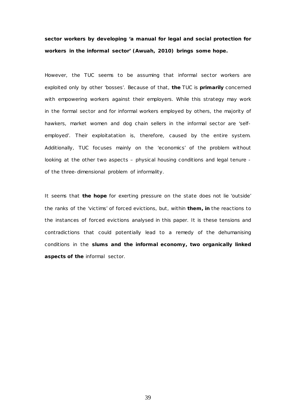**sector workers by developing 'a manual for legal and social protection for workers in the informal sector' (Awuah, 2010) brings some hope.** 

However, the TUC seems to be assuming that informal sector workers are exploited *only* by other 'bosses'. Because of that, **the** TUC is **primarily** concerned with empowering workers against their employers. While this strategy may work in the formal sector and for informal workers employed by others, the majority of hawkers, market women and dog chain sellers in the informal sector are 'selfemployed'. Their exploitatation is, therefore, caused by the entire system. Additionally, TUC focuses mainly on the 'economics' of the problem without looking at the other two aspects – physical housing conditions and legal tenure of the three-dimensional problem of informality.

It seems that **the hope** for exerting pressure on the state does not lie 'outside' the ranks of the 'victims' of forced evictions, but, within **them, in** the reactions to the instances of forced evictions analysed in this paper. It is these tensions and contradictions that could potentially lead to a remedy of the dehumanising conditions in the **slums and the informal economy, two organically linked aspects of the** informal sector.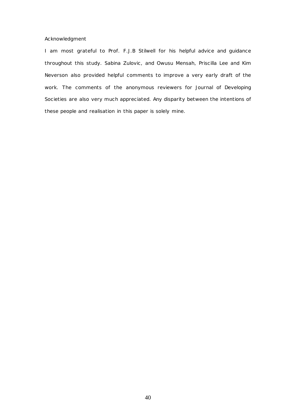# *Acknowledgment*

*I am most grateful to Prof. F.J.B Stilwell for his helpful advice and guidance throughout this study. Sabina Zulovic , and Owusu Mensah, Priscilla Lee and Kim Neverson also provided helpful comments to improve a very early draft of the work. The comments of the anonymous reviewers for Journal of Developing Societies are also very much appreciated. Any disparity between the intentions of these people and realisation in this paper is solely mine.*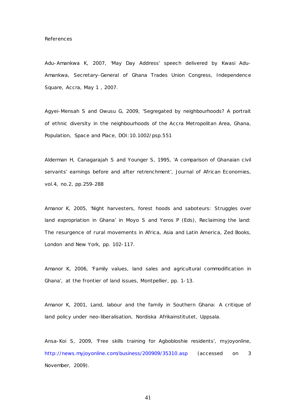Adu-Amankwa K, 2007, 'May Day Address' speech delivered by Kwasi Adu-Amankwa, Secretary-General of Ghana Trades Union Congress, Independence Square, Accra, May 1 , 2007.

Agyei-Mensah S and Owusu G, 2009, 'Segregated by neighbourhoods? A portrait of ethnic diversity in the neighbourhoods of the Accra Metropolitan Area, Ghana, *Population, Space and Place,* DOI:10.1002/psp.551

Alderman H, Canagarajah S and Younger S, 1995, 'A comparison of Ghanaian civil servants' earnings before and after retrenchment', *Journal of African Economies,*  vol.4, no.2, pp.259-288

Amanor K, 2005, 'Night harvesters, forest hoods and saboteurs: Struggles over land expropriation in Ghana' in Moyo S and Yeros P (Eds), *Reclaiming the land: The resurgence of rural movements in Africa, Asia and Latin America,* Zed Books, London and New York, pp. 102-117.

Amanor K, 2006, 'Family values, land sales and agricultural commodification in Ghana', *at the frontier of land issues, Montpellier, pp*. 1-13.

Amanor K, 2001, *Land, labour and the family in Southern Ghana: A critique of land policy under neo-liberalisation,* Nordiska Afrikainstitutet, Uppsala.

Ansa-Koi S, 2009, 'Free skills training for Agbobloshie residents', *myjoyonline,*  <http://news.myjoyonline.com/business/200909/35310.asp> (accessed on 3 November, 2009).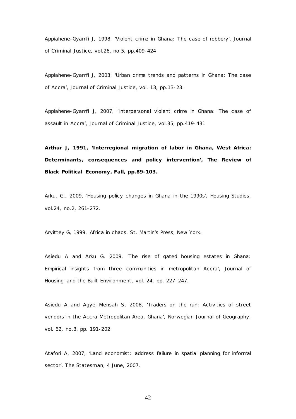Appiahene-Gyamfi J, 1998, 'Violent crime in Ghana: The case of robbery', *Journal of Criminal Justice,* vol.26, no.5, pp.409-424

Appiahene-Gyamfi J, 2003, 'Urban crime trends and patterns in Ghana: The case of Accra', *Journal of Criminal Justice,* vol. 13, pp.13-23.

Appiahene-Gyamfi J, 2007, 'Interpersonal violent crime in Ghana: The case of assault in Accra', *Journal of Criminal Justice,* vol.35, *pp.419*-431

**Arthur J, 1991, 'Interregional migration of labor in Ghana, West Africa: Determinants, consequences and policy intervention',** *The Review of Black Political Economy,* **Fall, pp.89-103.**

Arku, G., 2009, 'Housing policy changes in Ghana in the 1990s', *Housing Studies*, vol.24, no.2, 261-272.

Aryittey G, 1999, *Africa in chaos,* St. Martin's Press, New York.

Asiedu A and Arku G, 2009, 'The rise of gated housing estates in Ghana: Empirical insights from three communities in metropolitan Accra', *Journal of Housing and the Built Environment,* vol. 24, pp. 227–247.

Asiedu A and Agyei-Mensah S, 2008, 'Traders on the run: Activities of street vendors in the Accra Metropolitan Area, Ghana', *Norwegian Journal of Geography,*  vol. 62, no.3, pp. 191-202.

Atafori A, 2007, 'Land economist: address failure in spatial planning for informal sector', *The Statesman,* 4 June, 2007.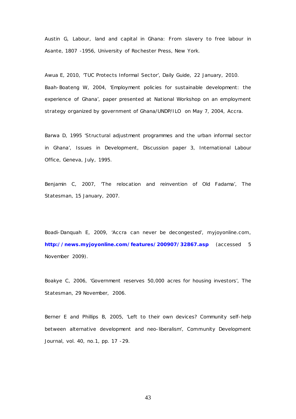Austin G, *Labour, land and capital in Ghana: From slavery to free labour in Asante, 1807 -1956,* University of Rochester Press, New York.

Awua E, 2010, 'TUC Protects Informal Sector', *Daily Guide,* 22 January, 2010. Baah-Boateng W, 2004, 'Employment policies for sustainable development: the experience of Ghana', paper presented at *National Workshop on an employment strategy organized by government of Ghana/UNDP/ILO* on May 7, 2004, Accra.

Barwa D, 1995 'Structural adjustment programmes and the urban informal sector in Ghana', *Issues in Development,* Discussion paper 3, International Labour Office, Geneva, July, 1995.

Benjamin C, 2007, 'The relocation and reinvention of Old Fadama', *The Statesman,* 15 January, 2007.

Boadi-Danquah E, 2009, 'Accra can never be decongested', *myjoyonline.com,*  **<http://news.myjoyonline.com/features/200907/32867.asp>** (accessed 5 November 2009).

Boakye C, 2006, 'Government reserves 50,000 acres for housing investors', *The Statesman,* 29 November, 2006.

Berner E and Phillips B, 2005, 'Left to their own devices? Community self-help between alternative development and neo-liberalism', *Community Development Journal,* vol. 40, no.1, pp. 17 -29.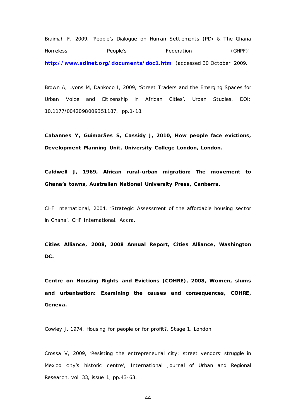Braimah F, 2009, 'People's Dialogue on Human Settlements (PD) & The Ghana Homeless People's Federation (GHPF)', **<http://www.sdinet.org/documents/doc1.htm>** (accessed 30 October, 2009.

Brown A, Lyons M, Dankoco I, 2009, 'Street Traders and the Emerging Spaces for Urban Voice and Citizenship in African Cities', Urban Studies, DOI: 10.1177/0042098009351187, pp.1-18.

**Cabannes Y, Guimarães S, Cassidy J, 2010,** *How people face evictions,* **Development Planning Unit, University College London, London.**

**Caldwell J, 1969,** *African rural-urban migration: The movement to Ghana's towns,* **Australian National University Press, Canberra.**

CHF International, 2004, 'Strategic Assessment of the affordable housing sector in Ghana', CHF International, Accra.

**Cities Alliance, 2008,** *2008 Annual Report,* **Cities Alliance, Washington DC.**

**Centre on Housing Rights and Evictions (COHRE), 2008,** *Women, slums and urbanisation: Examining the causes and consequences***, COHRE, Geneva.**

Cowley J, 1974, *Housing for people or for profit?*, Stage 1, London.

Crossa V, 2009, 'Resisting the entrepreneurial city: street vendors' struggle in Mexico city's historic centre', *International Journal of Urban and Regional Research,* vol. 33, issue 1, pp.43-63.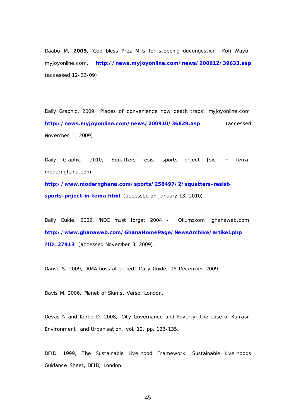Daabu M, **2009,** 'God bless Prez Mills for stopping decongestion –Kofi Wayo', *myjoyonline.com,* **<http://news.myjoyonline.com/news/200912/39633.asp>** (accessed 12-22-09)

Daily Graphic, 2009, 'Places of convenience now death traps', myjoyonline.com, **<http://news.myjoyonline.com/news/200910/36829.asp>** (accessed November 1, 2009).

Daily Graphic, 2010, 'Squatters resist sports priject [sic] in Tema', *modernghana.com,* 

**[http://www.modernghana.com/sports/258497/2/squatters-resist](http://www.modernghana.com/sports/258497/2/squatters-resist-sports-priject-in-tema.html)[sports-priject-in-tema.html](http://www.modernghana.com/sports/258497/2/squatters-resist-sports-priject-in-tema.html)** (accessed on January 13, 2010).

Daily Guide, 2002, 'NDC must forget 2004 - Okumokom', *ghanaweb.com,*  **[http://www.ghanaweb.com/GhanaHomePage/NewsArchive/artikel.php](http://www.ghanaweb.com/GhanaHomePage/NewsArchive/artikel.php?ID=27913) [?ID=27913](http://www.ghanaweb.com/GhanaHomePage/NewsArchive/artikel.php?ID=27913)** (accessed November 3, 2009).

Danso S, 2009, 'AMA boss attacked', *Daily Guide,* 15 December 2009.

Davis M, 2006, *Planet of Slums,* Verso, London.

Devas N and Korbo D, 2008, 'City Governance and Poverty: the case of Kumasi', *Environment and Urbanisation,* vol. 12, pp. 123-135.

DFID, 1999, *The Sustainable Livelihood Framework: Sustainable Livelihoods Guidance Sheet,* DFID, London.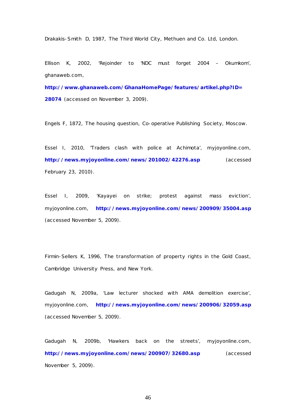Drakakis-Smith D, 1987, *The Third World City,* Methuen and Co. Ltd, London.

Ellison K, 2002, 'Rejoinder to 'NDC must forget 2004 – Okumkom', *ghanaweb.com,* 

**[http://www.ghanaweb.com/GhanaHomePage/features/artikel.php?ID=](http://www.ghanaweb.com/GhanaHomePage/features/artikel.php?ID=28074) [28074](http://www.ghanaweb.com/GhanaHomePage/features/artikel.php?ID=28074)** (accessed on November 3, 2009).

Engels F, 1872, *The housing question,* Co-operative Publishing Society, Moscow.

Essel I, 2010, 'Traders clash with police at Achimota', *myjoyonline.com,*  **<http://news.myjoyonline.com/news/201002/42276.asp>** (accessed February 23, 2010).

Essel I, 2009, 'Kayayei on strike; protest against mass eviction', *myjoyonline.com,* **<http://news.myjoyonline.com/news/200909/35004.asp>** (accessed November 5, 2009).

Firmin-Sellers K, 1996, *The transformation of property rights in the Gold Coast,*  Cambridge University Press, and New York.

Gadugah N, 2009a, 'Law lecturer shocked with AMA demolition exercise', *myjoyonline.com,* **<http://news.myjoyonline.com/news/200906/32059.asp>** (accessed November 5, 2009).

Gadugah N, 2009b, 'Hawkers back on the streets', *myjoyonline.com,*  **<http://news.myjoyonline.com/news/200907/32680.asp>** (accessed November 5, 2009).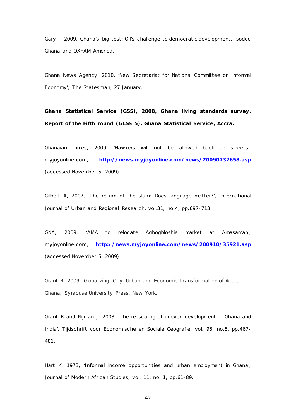Gary I, 2009, *Ghana's big test: Oil's challenge to democratic development,* Isodec Ghana and OXFAM America.

Ghana News Agency, 2010, 'New Secretariat for National Committee on Informal Economy', *The Statesman,* 27 January.

**Ghana Statistical Service (GSS), 2008,** *Ghana living standards survey. Report of the Fifth round (GLSS 5)***, Ghana Statistical Service, Accra.**

Ghanaian Times, 2009, 'Hawkers will not be allowed back on streets', *myjoyonline.com,* **<http://news.myjoyonline.com/news/20090732658.asp>** (accessed November 5, 2009).

Gilbert A, 2007, 'The return of the slum: Does language matter?', *International Journal of Urban and Regional Research,* vol.31, no.4, pp.697-713.

GNA, 2009, 'AMA to relocate Agbogbloshie market at Amasaman', *myjoyonline.com,* **<http://news.myjoyonline.com/news/200910/35921.asp>** (accessed November 5, 2009)

Grant R, 2009, *Globalizing City. Urban and Economic Transformation of Accra, Ghana,* Syracuse University Press, New York.

Grant R and Nijman J, 2003, 'The re-scaling of uneven development in Ghana and India', *Tijdschrift voor Economische en Sociale Geografie,* vol. 95, no.5, pp.467- 481.

Hart K, 1973, 'Informal income opportunities and urban employment in Ghana', *Journal of Modern African Studies,* vol. 11, no. 1, pp.61-89.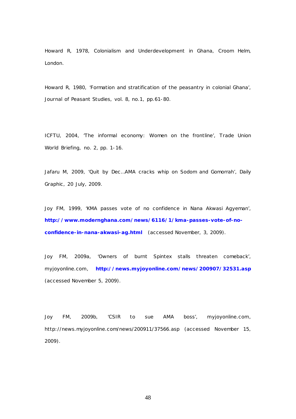Howard R, 1978, *Colonialism and Underdevelopment in Ghana,* Croom Helm, London.

Howard R, 1980, 'Formation and stratification of the peasantry in colonial Ghana', *Journal of Peasant Studies,* vol. 8, no.1, pp.61-80.

ICFTU, 2004, 'The informal economy: Women on the frontline', *Trade Union World Briefing,* no. 2, pp. 1-16.

Jafaru M, 2009, 'Quit by Dec…AMA cracks whip on Sodom and Gomorrah', *Daily Graphic ,* 20 July, 2009.

Joy FM, 1999, 'KMA passes vote of no confidence in Nana Akwasi Agyeman', **[http://www.modernghana.com/news/6116/1/kma-passes-vote-of-no](http://www.modernghana.com/news/6116/1/kma-passes-vote-of-no-confidence-in-nana-akwasi-ag.html)[confidence-in-nana-akwasi-ag.html](http://www.modernghana.com/news/6116/1/kma-passes-vote-of-no-confidence-in-nana-akwasi-ag.html)** (accessed November, 3, 2009).

Joy FM, 2009a, 'Owners of burnt Spintex stalls threaten comeback', *myjoyonline.com,* **<http://news.myjoyonline.com/news/200907/32531.asp>** (accessed November 5, 2009).

Joy FM, 2009b, 'CSIR to sue AMA boss', *myjoyonline.com,*  http://news.myjoyonline.com/news/200911/37566.asp (accessed November 15, 2009).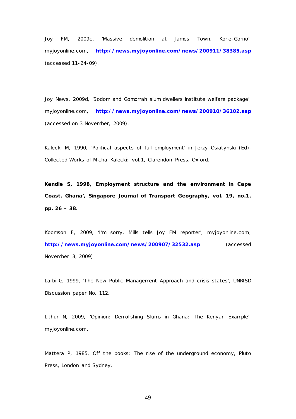Joy FM, 2009c, 'Massive demolition at James Town, Korle-Gorno', *myjoyonline.com,* **<http://news.myjoyonline.com/news/200911/38385.asp>** (accessed 11-24-09).

Joy News, 2009d, 'Sodom and Gomorrah slum dwellers institute welfare package', *myjoyonline.com,* **<http://news.myjoyonline.com/news/200910/36102.asp>** (accessed on 3 November, 2009).

Kalecki M, 1990, 'Political aspects of full employment' in Jerzy Osiatynski (Ed), *Collected Works of Michal Kalecki:* vol.1, Clarendon Press, Oxford.

**Kendie S, 1998, Employment structure and the environment in Cape Coast, Ghana',** *Singapore Journal of Transport Geography,* **vol. 19, no.1, pp. 26 – 38.**

Koomson F, 2009, 'I'm sorry, Mills tells Joy FM reporter', *myjoyonline.com,*  **<http://news.myjoyonline.com/news/200907/32532.asp>** (accessed November 3, 2009)

Larbi G, 1999, 'The New Public Management Approach and crisis states', *UNRISD D*iscussion paper No. 112.

Lithur N, 2009, 'Opinion: Demolishing Slums in Ghana: The Kenyan Example', *myjoyonline.com,* 

Mattera P, 1985, *Off the books: The rise of the underground economy,* Pluto Press, London and Sydney.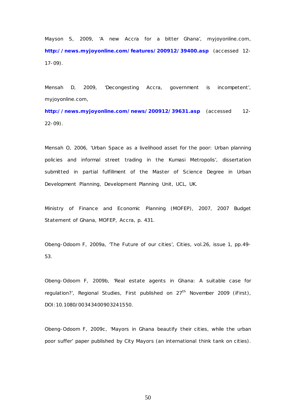Mayson S, 2009, 'A new Accra for a bitter Ghana', *myjoyonline.com,*  **<http://news.myjoyonline.com/features/200912/39400.asp>** (accessed 12- 17-09).

Mensah D, 2009, 'Decongesting Accra, government is incompetent', *myjoyonline.com,* 

**<http://news.myjoyonline.com/news/200912/39631.asp>** (accessed 12- 22-09).

Mensah O, 2006, 'Urban Space as a livelihood asset for the poor: Urban planning policies and informal street trading in the Kumasi Metropolis', dissertation submitted in partial fulfillment of the Master of Science Degree in Urban Development Planning, *Development Planning Unit, UCL,* UK.

Ministry of Finance and Economic Planning (MOFEP), 2007, *2007 Budget Statement of Ghana,* MOFEP, Accra, p. 431.

Obeng-Odoom F, 2009a, 'The Future of our cities', *Cities,* vol.26, issue 1, pp.49- 53.

Obeng-Odoom F, 2009b*,* 'Real estate agents in Ghana: A suitable case for regulation?', *Regional Studies*, First published on 27<sup>th</sup> November 2009 (iFirst), DOI:10.1080/00343400903241550.

Obeng-Odoom F, 2009c, 'Mayors in Ghana beautify their cities, while the urban poor suffer' paper published by *City Mayors* (an international think tank on cities).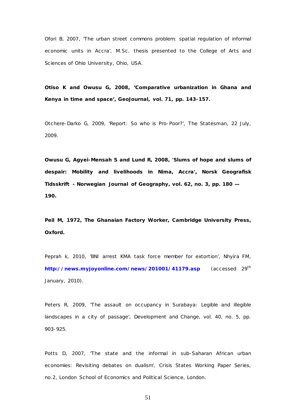Ofori B, 2007, 'The urban street commons problem: spatial regulation of informal economic units in Accra', M.Sc . thesis presented to the *College of Arts and Sciences of Ohio University*, Ohio, USA.

**Otiso K and Owusu G, 2008, 'Comparative urbanization in Ghana and Kenya in time and space',** *GeoJournal,* **vol. 71, pp. 143-157.**

Otchere-Darko G, 2009, 'Report: So who is Pro-Poor?', *The Statesman,* 22 July, 2009.

**Owusu G, Agyei-Mensah S and Lund R, 2008, 'Slums of hope and slums of despair: Mobility and livelihoods in Nima, Accra',** *Norsk Geografisk Tidsskrift - Norwegian Journal of Geography***, vol. 62, no. 3, pp. 180 — 190.**

**Peil M, 1972,** *The Ghanaian Factory Worker,* **Cambridge University Press, Oxford.**

Peprah k, 2010, 'BNI arrest KMA task force member for extortion', *Nhyira FM,*  **<http://news.myjoyonline.com/news/201001/41179.asp>** (accessed 29th January, 2010).

Peters R, 2009, 'The assault on occupancy in Surabaya: Legible and illegible landscapes in a city of passage', *Development and Change,* vol. 40, no. 5, pp. 903-925.

Potts D, 2007, 'The state and the informal in sub-Saharan African urban economies: Revisiting debates on dualism', *Crisis States Working Paper Series,*  no.2, London School of Economics and Political Science, London.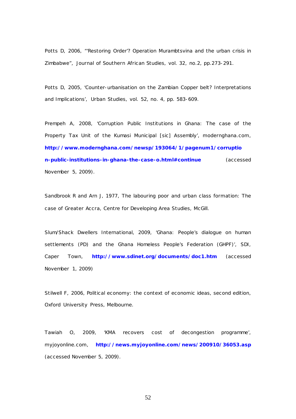Potts D, 2006, "'Restoring Order'? Operation Murambtsvina and the urban crisis in Zimbabwe", *Journal of Southern African Studies,* vol. 32, no.2, pp.273-291.

Potts D, 2005, 'Counter-urbanisation on the Zambian Copper belt? Interpretations and Implications', *Urban Studies,* vol. 52, no. 4, pp. 583-609.

Prempeh A, 2008, 'Corruption Public Institutions in Ghana: The case of the Property Tax Unit of the Kumasi Municipal [sic] Assembly', *modernghana.com,*  **[http://www.modernghana.com/newsp/193064/1/pagenum1/corruptio](http://www.modernghana.com/newsp/193064/1/pagenum1/corruption-public-institutions-in-ghana-the-case-o.html#continue) [n-public-institutions-in-ghana-the-case-o.html#continue](http://www.modernghana.com/newsp/193064/1/pagenum1/corruption-public-institutions-in-ghana-the-case-o.html#continue)** (accessed November 5, 2009).

Sandbrook R and Arn J, 1977, *The labouring poor and urban class formation: The case of Greater Accra,* Centre for Developing Area Studies, McGill.

Slum/Shack Dwellers International, 2009, 'Ghana: People's dialogue on human settlements (PD) and the Ghana Homeless People's Federation (GHPF)', SDI, Caper Town, **<http://www.sdinet.org/documents/doc1.htm>** (accessed November 1, 2009)

Stilwell F, 2006, *Political economy: the context of economic ideas,* second edition, Oxford University Press, Melbourne.

Tawiah O, 2009, 'KMA recovers cost of decongestion programme', *myjoyonline.com,* **<http://news.myjoyonline.com/news/200910/36053.asp>** (accessed November 5, 2009).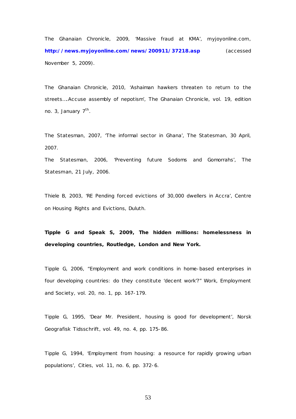The Ghanaian Chronicle*,* 2009, 'Massive fraud at KMA', *myjoyonline.com,*  **<http://news.myjoyonline.com/news/200911/37218.asp>** (accessed November 5, 2009).

The Ghanaian Chronicle, 2010, 'Ashaiman hawkers threaten to return to the streets….Accuse assembly of nepotism', *The Ghanaian Chronicle,* vol. 19, edition no. 3, January  $7<sup>th</sup>$ .

The Statesman, 2007, 'The informal sector in Ghana', *The Statesman,* 30 April, 2007.

The Statesman, 2006, 'Preventing future Sodoms and Gomorrahs', *The Statesman,* 21 July, 2006.

Thiele B, 2003, 'RE Pending forced evictions of 30,000 dwellers in Accra', Centre on Housing Rights and Evictions, Duluth.

**Tipple G and Speak S, 2009,** *The hidden millions: homelessness in developing countries,* **Routledge, London and New York.**

Tipple G, 2006, "Employment and work conditions in home-based enterprises in four developing countries: do they constitute 'decent work'?" *Work, Employment and Society*, vol. 20, no. 1, pp. 167-179.

Tipple G, 1995, 'Dear Mr. President, housing is good for development', *Norsk Geografisk Tidsschrift*, vol. 49, no. 4, pp. 175-86.

Tipple G, 1994, 'Employment from housing: a resource for rapidly growing urban populations', *Cities*, vol. 11, no. 6, pp. 372-6.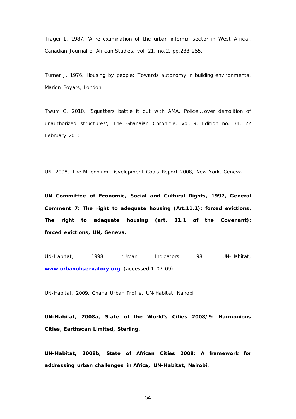Trager L, 1987, 'A re-examination of the urban informal sector in West Africa', *Canadian Journal of African Studies,* vol. 21, no.2, pp.238-255.

Turner J, 1976, *Housing by people: Towards autonomy in building environments,*  Marion Boyars, London.

Twum C, 2010, 'Squatters battle it out with AMA, Police….over demolition of unauthorized structures', *The Ghanaian Chronicle,* vol.19, Edition no. 34, 22 February 2010.

UN, 2008, *The Millennium Development Goals Report 2008,* New York, Geneva.

**UN Committee of Economic, Social and Cultural Rights, 1997,** *General Comment 7: The right to adequate housing (Art.11.1): forced evictions. The right to adequate housing (art. 11.1 of the Covenant): forced evictions,* **UN, Geneva.**

UN-Habitat, 1998, 'Urban Indicators 98', UN*-Habitat,* **[www.urbanobservatory.org](http://www.urbanobservatory.org/)** (accessed 1-07-09).

UN-Habitat, 2009, *Ghana Urban Profile*, UN-Habitat, Nairobi.

**UN-Habitat, 2008a,** *State of the World's Cities 2008/9: Harmonious Cities,* **Earthscan Limited, Sterling.**

**UN-Habitat, 2008b,** *State of African Cities 2008: A framework for addressing urban challenges in Africa,* **UN-Habitat, Nairobi.**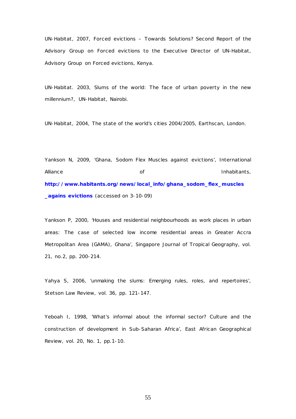UN-Habitat, 2007, *Forced evictions – Towards Solutions? Second Report of the Advisory Group on Forced evictions to the Executive Director of UN-Habitat,*  Advisory Group on Forced evictions, Kenya.

UN-Habitat. 2003, *Slums of the world: The face of urban poverty in the new millennium?*, UN-Habitat, Nairobi.

UN-Habitat, 2004, *The state of the world's cities 2004/2005,* Earthscan, London.

Yankson N, 2009, 'Ghana, Sodom Flex Muscles against evictions', *International Alliance of Inhabitants,*  **[http://www.habitants.org/news/local\\_info/ghana\\_sodom\\_flex\\_muscles](http://www.habitants.org/news/local_info/ghana_sodom_flex_muscles_agains%20evictions) [\\_agains evictions](http://www.habitants.org/news/local_info/ghana_sodom_flex_muscles_agains%20evictions)** (accessed on 3-10-09)

Yankson P, 2000, 'Houses and residential neighbourhoods as work places in urban areas: The case of selected low income residential areas in Greater Accra Metropolitan Area (GAMA), Ghana', *Singapore Journal of Tropical Geography,* vol. 21, no.2, pp. 200-214.

Yahya S, 2006, 'unmaking the slums: Emerging rules, roles, and repertoires', *Stetson Law Review,* vol. 36, pp. 121-147.

Yeboah I, 1998, 'What's informal about the informal sector? Culture and the construction of development in Sub-Saharan Africa', *East African Geographical Review,* vol. 20, No. 1, pp.1-10.